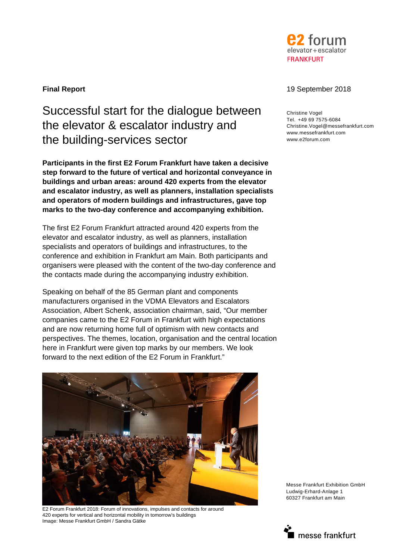

# Successful start for the dialogue between the elevator & escalator industry and the building-services sector

**Participants in the first E2 Forum Frankfurt have taken a decisive step forward to the future of vertical and horizontal conveyance in buildings and urban areas: around 420 experts from the elevator and escalator industry, as well as planners, installation specialists and operators of modern buildings and infrastructures, gave top marks to the two-day conference and accompanying exhibition.** 

The first E2 Forum Frankfurt attracted around 420 experts from the elevator and escalator industry, as well as planners, installation specialists and operators of buildings and infrastructures, to the conference and exhibition in Frankfurt am Main. Both participants and organisers were pleased with the content of the two-day conference and the contacts made during the accompanying industry exhibition.

Speaking on behalf of the 85 German plant and components manufacturers organised in the VDMA Elevators and Escalators Association, Albert Schenk, association chairman, said, "Our member companies came to the E2 Forum in Frankfurt with high expectations and are now returning home full of optimism with new contacts and perspectives. The themes, location, organisation and the central location here in Frankfurt were given top marks by our members. We look forward to the next edition of the E2 Forum in Frankfurt."



E2 Forum Frankfurt 2018: Forum of innovations, impulses and contacts for around 420 experts for vertical and horizontal mobility in tomorrow's buildings Image: Messe Frankfurt GmbH / Sandra Gätke

# **Final Report** 19 September 2018

Christine Vogel Tel. +49 69 7575-6084 Christine.Vogel@messefrankfurt.com www.messefrankfurt.com www.e2forum.com

Messe Frankfurt Exhibition GmbH Ludwig-Erhard-Anlage 1 60327 Frankfurt am Main

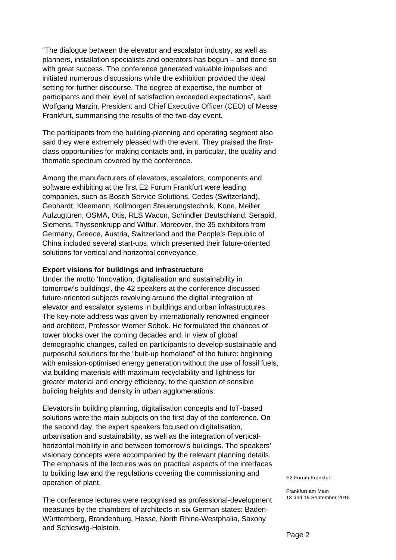"The dialogue between the elevator and escalator industry, as well as planners, installation specialists and operators has begun – and done so with great success. The conference generated valuable impulses and initiated numerous discussions while the exhibition provided the ideal setting for further discourse. The degree of expertise, the number of participants and their level of satisfaction exceeded expectations", said Wolfgang Marzin, President and Chief Executive Officer (CEO) of Messe Frankfurt, summarising the results of the two-day event.

The participants from the building-planning and operating segment also said they were extremely pleased with the event. They praised the firstclass opportunities for making contacts and, in particular, the quality and thematic spectrum covered by the conference.

Among the manufacturers of elevators, escalators, components and software exhibiting at the first E2 Forum Frankfurt were leading companies, such as Bosch Service Solutions, Cedes (Switzerland), Gebhardt, Kleemann, Kollmorgen Steuerungstechnik, Kone, Meiller Aufzugtüren, OSMA, Otis, RLS Wacon, Schindler Deutschland, Serapid, Siemens, Thyssenkrupp and Wittur. Moreover, the 35 exhibitors from Germany, Greece, Austria, Switzerland and the People's Republic of China included several start-ups, which presented their future-oriented solutions for vertical and horizontal conveyance.

## **Expert visions for buildings and infrastructure**

Under the motto 'Innovation, digitalisation and sustainability in tomorrow's buildings', the 42 speakers at the conference discussed future-oriented subjects revolving around the digital integration of elevator and escalator systems in buildings and urban infrastructures. The key-note address was given by internationally renowned engineer and architect, Professor Werner Sobek. He formulated the chances of tower blocks over the coming decades and, in view of global demographic changes, called on participants to develop sustainable and purposeful solutions for the "built-up homeland" of the future: beginning with emission-optimised energy generation without the use of fossil fuels, via building materials with maximum recyclability and lightness for greater material and energy efficiency, to the question of sensible building heights and density in urban agglomerations.

Elevators in building planning, digitalisation concepts and IoT-based solutions were the main subjects on the first day of the conference. On the second day, the expert speakers focused on digitalisation, urbanisation and sustainability, as well as the integration of verticalhorizontal mobility in and between tomorrow's buildings. The speakers' visionary concepts were accompanied by the relevant planning details. The emphasis of the lectures was on practical aspects of the interfaces to building law and the regulations covering the commissioning and operation of plant.

The conference lectures were recognised as professional-development measures by the chambers of architects in six German states: Baden-Württemberg, Brandenburg, Hesse, North Rhine-Westphalia, Saxony and Schleswig-Holstein.

E2 Forum Frankfurt

Frankfurt am Main 18 and 19 September 2018